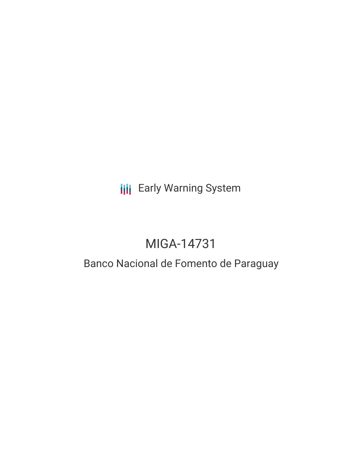# **III** Early Warning System

# MIGA-14731

# Banco Nacional de Fomento de Paraguay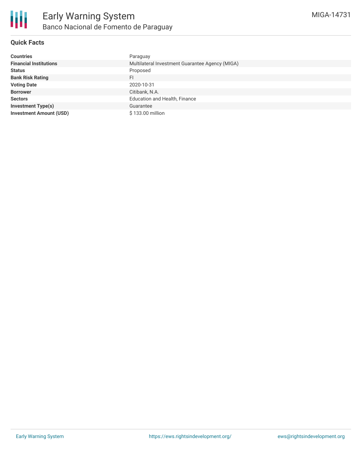

### **Quick Facts**

| <b>Countries</b>               | Paraguay                                        |
|--------------------------------|-------------------------------------------------|
| <b>Financial Institutions</b>  | Multilateral Investment Guarantee Agency (MIGA) |
| <b>Status</b>                  | Proposed                                        |
| <b>Bank Risk Rating</b>        | FI                                              |
| <b>Voting Date</b>             | 2020-10-31                                      |
| <b>Borrower</b>                | Citibank, N.A.                                  |
| <b>Sectors</b>                 | <b>Education and Health, Finance</b>            |
| <b>Investment Type(s)</b>      | Guarantee                                       |
| <b>Investment Amount (USD)</b> | \$133.00 million                                |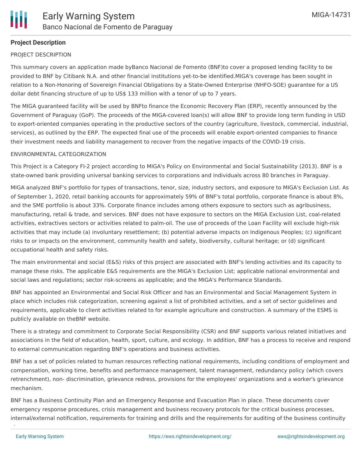## **Project Description**

#### PROJECT DESCRIPTION

This summary covers an application made byBanco Nacional de Fomento (BNF)to cover a proposed lending facility to be provided to BNF by Citibank N.A. and other financial institutions yet-to-be identified.MIGA's coverage has been sought in relation to a Non-Honoring of Sovereign Financial Obligations by a State-Owned Enterprise (NHFO-SOE) guarantee for a US dollar debt financing structure of up to US\$ 133 million with a tenor of up to 7 years.

The MIGA guaranteed facility will be used by BNFto finance the Economic Recovery Plan (ERP), recently announced by the Government of Paraguay (GoP). The proceeds of the MIGA-covered loan(s) will allow BNF to provide long term funding in USD to export-oriented companies operating in the productive sectors of the country (agriculture, livestock, commercial, industrial, services), as outlined by the ERP. The expected final use of the proceeds will enable export-oriented companies to finance their investment needs and liability management to recover from the negative impacts of the COVID-19 crisis.

#### ENVIRONMENTAL CATEGORIZATION

This Project is a Category FI-2 project according to MIGA's Policy on Environmental and Social Sustainability (2013). BNF is a state-owned bank providing universal banking services to corporations and individuals across 80 branches in Paraguay.

MIGA analyzed BNF's portfolio for types of transactions, tenor, size, industry sectors, and exposure to MIGA's Exclusion List. As of September 1, 2020, retail banking accounts for approximately 59% of BNF's total portfolio, corporate finance is about 8%, and the SME portfolio is about 33%. Corporate finance includes among others exposure to sectors such as agribusiness, manufacturing, retail & trade, and services. BNF does not have exposure to sectors on the MIGA Exclusion List, coal-related activities, extractives sectors or activities related to palm-oil. The use of proceeds of the Loan Facility will exclude high-risk activities that may include (a) involuntary resettlement; (b) potential adverse impacts on Indigenous Peoples; (c) significant risks to or impacts on the environment, community health and safety, biodiversity, cultural heritage; or (d) significant occupational health and safety risks.

The main environmental and social (E&S) risks of this project are associated with BNF's lending activities and its capacity to manage these risks. The applicable E&S requirements are the MIGA's Exclusion List; applicable national environmental and social laws and regulations; sector risk-screens as applicable; and the MIGA's Performance Standards.

BNF has appointed an Environmental and Social Risk Officer and has an Environmental and Social Management System in place which includes risk categorization, screening against a list of prohibited activities, and a set of sector guidelines and requirements, applicable to client activities related to for example agriculture and construction. A summary of the ESMS is publicly available on theBNF website.

There is a strategy and commitment to Corporate Social Responsibility (CSR) and BNF supports various related initiatives and associations in the field of education, health, sport, culture, and ecology. In addition, BNF has a process to receive and respond to external communication regarding BNF's operations and business activities.

BNF has a set of policies related to human resources reflecting national requirements, including conditions of employment and compensation, working time, benefits and performance management, talent management, redundancy policy (which covers retrenchment), non- discrimination, grievance redress, provisions for the employees' organizations and a worker's grievance mechanism.

BNF has a Business Continuity Plan and an Emergency Response and Evacuation Plan in place. These documents cover emergency response procedures, crisis management and business recovery protocols for the critical business processes, internal/external notification, requirements for training and drills and the requirements for auditing of the business continuity

plans.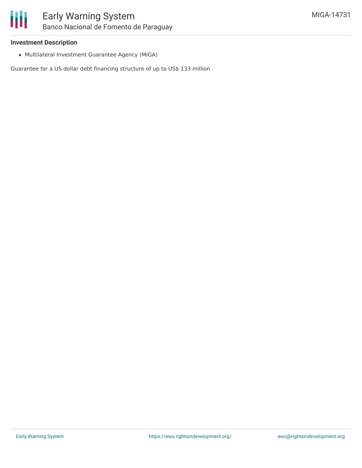### **Investment Description**

Multilateral Investment Guarantee Agency (MIGA)

Guarantee for a US dollar debt financing structure of up to US\$ 133 million